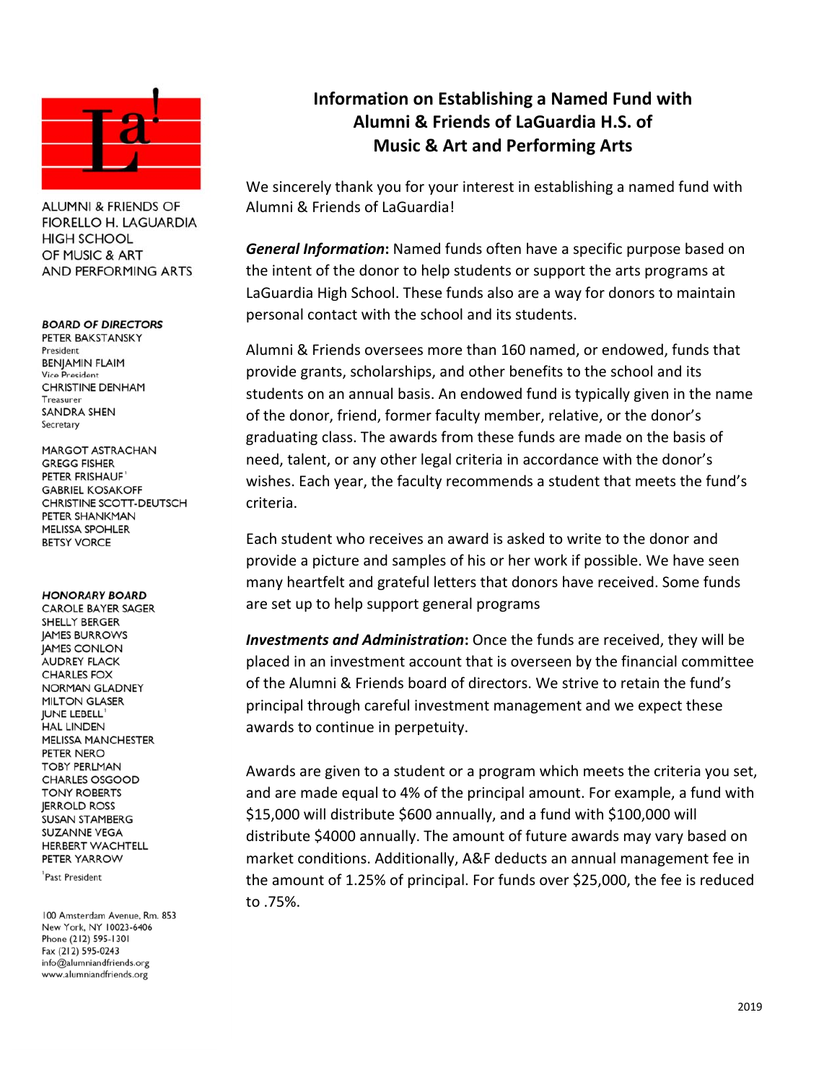

**ALUMNI & FRIENDS OF FIORELLO H. LAGUARDIA HIGH SCHOOL** OF MUSIC & ART **AND PERFORMING ARTS** 

## **BOARD OF DIRECTORS**

PETER BAKSTANSKY President **BENJAMIN FLAIM** Vice President **CHRISTINE DENHAM** Treasurer **SANDRA SHEN** Secretary

MARGOT ASTRACHAN GREGG FISHER PETER FRISHAUF **GABRIEL KOSAKOFF** CHRISTINE SCOTT-DEUTSCH PETER SHANKMAN **MELISSA SPOHLER BETSY VORCE** 

## **HONORARY BOARD**

**CAROLE BAYER SAGER** SHELLY BERGER **JAMES BURROWS JAMES CONLON** AUDREY FLACK **CHARLES FOX** NORMAN GLADNEY **MILTON GLASER JUNE LEBELL HAL LINDEN MELISSA MANCHESTER** PETER NERO **TORY PERIMAN CHARLES OSGOOD TONY ROBERTS IERROLD ROSS** SUSAN STAMBERG **SUZANNE VEGA** HERBERT WACHTELL PETER YARROW

Past President

100 Amsterdam Avenue, Rm. 853 New York, NY 10023-6406 Phone (212) 595-1301 Fax (212) 595-0243 info@alumniandfriends.org www.alumniandfriends.org

## **Information on Establishing a Named Fund with Alumni & Friends of LaGuardia H.S. of Music & Art and Performing Arts**

We sincerely thank you for your interest in establishing a named fund with Alumni & Friends of LaGuardia!

*General Information***:** Named funds often have a specific purpose based on the intent of the donor to help students or support the arts programs at LaGuardia High School. These funds also are a way for donors to maintain personal contact with the school and its students.

Alumni & Friends oversees more than 160 named, or endowed, funds that provide grants, scholarships, and other benefits to the school and its students on an annual basis. An endowed fund is typically given in the name of the donor, friend, former faculty member, relative, or the donor's graduating class. The awards from these funds are made on the basis of need, talent, or any other legal criteria in accordance with the donor's wishes. Each year, the faculty recommends a student that meets the fund's criteria.

Each student who receives an award is asked to write to the donor and provide a picture and samples of his or her work if possible. We have seen many heartfelt and grateful letters that donors have received. Some funds are set up to help support general programs

*Investments and Administration***:** Once the funds are received, they will be placed in an investment account that is overseen by the financial committee of the Alumni & Friends board of directors. We strive to retain the fund's principal through careful investment management and we expect these awards to continue in perpetuity.

Awards are given to a student or a program which meets the criteria you set, and are made equal to 4% of the principal amount. For example, a fund with \$15,000 will distribute \$600 annually, and a fund with \$100,000 will distribute \$4000 annually. The amount of future awards may vary based on market conditions. Additionally, A&F deducts an annual management fee in the amount of 1.25% of principal. For funds over \$25,000, the fee is reduced to .75%.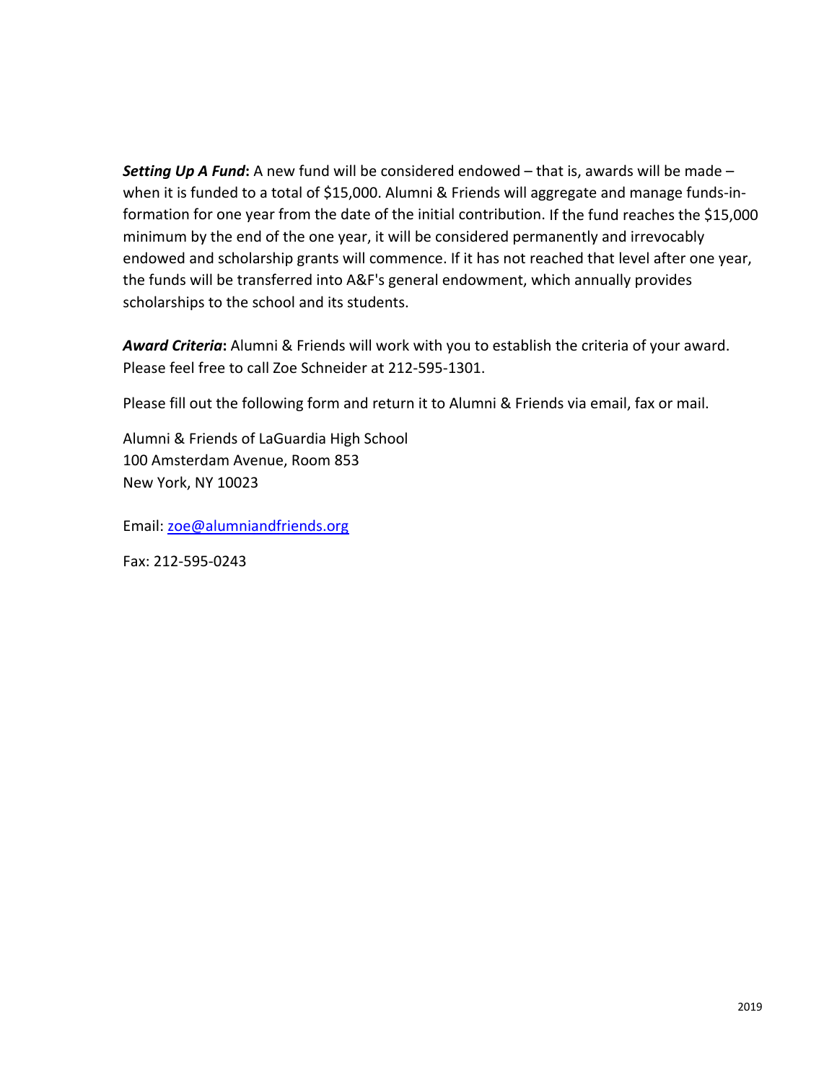*Setting Up A Fund***:** A new fund will be considered endowed – that is, awards will be made – when it is funded to a total of \$15,000. Alumni & Friends will aggregate and manage funds-information for one year from the date of the initial contribution. If the fund reaches the \$15,000 minimum by the end of the one year, it will be considered permanently and irrevocably endowed and scholarship grants will commence. If it has not reached that level after one year, the funds will be transferred into A&F's general endowment, which annually provides scholarships to the school and its students.

*Award Criteria***:** Alumni & Friends will work with you to establish the criteria of your award. Please feel free to call Zoe Schneider at 212‐595‐1301.

Please fill out the following form and return it to Alumni & Friends via email, fax or mail.

Alumni & Friends of LaGuardia High School 100 Amsterdam Avenue, Room 853 New York, NY 10023

Email: zoe@alumniandfriends.org

Fax: 212‐595‐0243